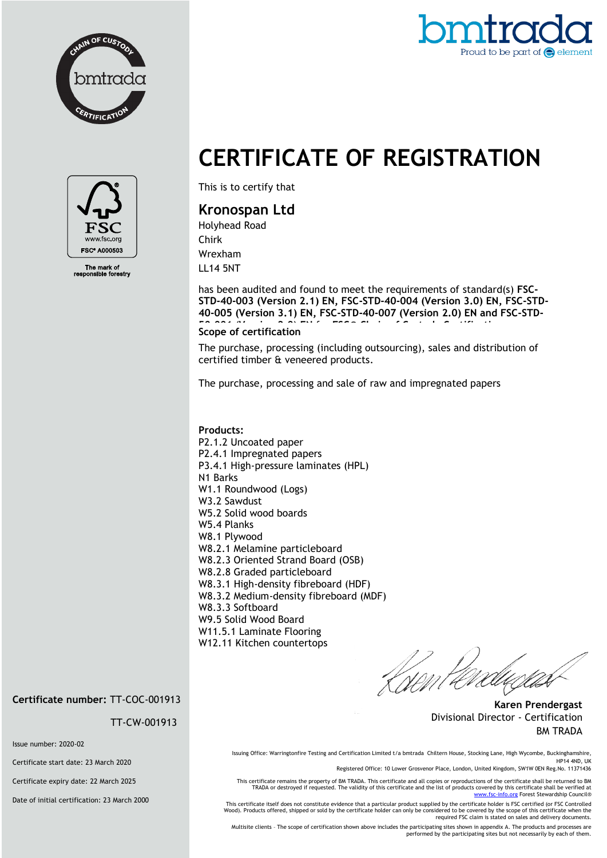



## **CERTIFICATE OF REGISTRATION**



The mark of<br>ponsible fore

This is to certify that

## **Kronospan Ltd**

Holyhead Road Chirk Wrexham LL14 5NT

has been audited and found to meet the requirements of standard(s) **FSC-STD-40-003 (Version 2.1) EN, FSC-STD-40-004 (Version 3.0) EN, FSC-STD-40-005 (Version 3.1) EN, FSC-STD-40-007 (Version 2.0) EN and FSC-STD-Scope of certification** 

The purchase, processing (including outsourcing), sales and distribution of certified timber & veneered products.

The purchase, processing and sale of raw and impregnated papers

## **Products:**  P2.1.2 Uncoated paper P2.4.1 Impregnated papers P3.4.1 High-pressure laminates (HPL) N1 Barks W1.1 Roundwood (Logs) W3.2 Sawdust W5.2 Solid wood boards W5.4 Planks W8.1 Plywood W8.2.1 Melamine particleboard W8.2.3 Oriented Strand Board (OSB) W8.2.8 Graded particleboard W8.3.1 High-density fibreboard (HDF) W8.3.2 Medium-density fibreboard (MDF) W8.3.3 Softboard W9.5 Solid Wood Board W11.5.1 Laminate Flooring W12.11 Kitchen countertops

**Karen Prendergast** Divisional Director - Certification BM TRADA

**Certificate number:** TT-COC-001913

TT-CW-001913

Issue number: 2020-02

Certificate start date: 23 March 2020

Certificate expiry date: 22 March 2025

Date of initial certification: 23 March 2000

Issuing Office: Warringtonfire Testing and Certification Limited t/a bmtrada Chiltern House, Stocking Lane, High Wycombe, Buckinghamshire, HP14 4ND, UK Registered Office: 10 Lower Grosvenor Place, London, United Kingdom, SW1W 0EN Reg.No. 11371436

This certificate remains the property of BM TRADA. This certificate and all copies or reproductions of the certificate shall be returned to BM TRADA or destroyed if requested. The validity of this certificate and the list of products covered by this certificate shall be verified at<br>[www.fsc-info.org](http://www.fsc-info.org/) Forest Stewardship Council®

This certificate itself does not constitute evidence that a particular product supplied by the certificate holder is FSC certified (or FSC Controlled Wood). Products offered, shipped or sold by the certificate holder can only be considered to be covered by the scope of this certificate when the required FSC claim is stated on sales and delivery documents.

Multisite clients – The scope of certification shown above includes the participating sites shown in appendix A. The products and processes are performed by the participating sites but not necessarily by each of them.